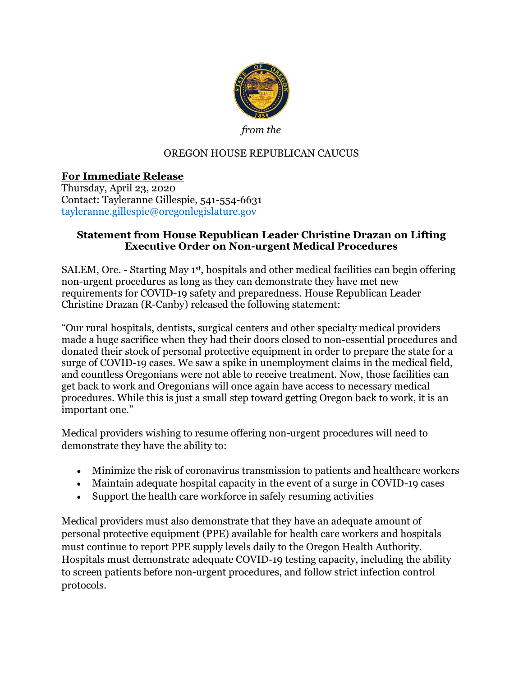

*from the* 

## OREGON HOUSE REPUBLICAN CAUCUS

## **For Immediate Release**

Thursday, April 23, 2020 Contact: Tayleranne Gillespie, 541-554-6631 [tayleranne.gillespie@oregonlegislature.gov](mailto:tayleranne.gillespie@oregonlegislature.gov)

## **Statement from House Republican Leader Christine Drazan on Lifting Executive Order on Non-urgent Medical Procedures**

SALEM, Ore. - Starting May 1<sup>st</sup>, hospitals and other medical facilities can begin offering non-urgent procedures as long as they can demonstrate they have met new requirements for COVID-19 safety and preparedness. House Republican Leader Christine Drazan (R-Canby) released the following statement:

"Our rural hospitals, dentists, surgical centers and other specialty medical providers made a huge sacrifice when they had their doors closed to non-essential procedures and donated their stock of personal protective equipment in order to prepare the state for a surge of COVID-19 cases. We saw a spike in unemployment claims in the medical field, and countless Oregonians were not able to receive treatment. Now, those facilities can get back to work and Oregonians will once again have access to necessary medical procedures. While this is just a small step toward getting Oregon back to work, it is an important one."

Medical providers wishing to resume offering non-urgent procedures will need to demonstrate they have the ability to:

- Minimize the risk of coronavirus transmission to patients and healthcare workers
- Maintain adequate hospital capacity in the event of a surge in COVID-19 cases
- Support the health care workforce in safely resuming activities

Medical providers must also demonstrate that they have an adequate amount of personal protective equipment (PPE) available for health care workers and hospitals must continue to report PPE supply levels daily to the Oregon Health Authority. Hospitals must demonstrate adequate COVID-19 testing capacity, including the ability to screen patients before non-urgent procedures, and follow strict infection control protocols.